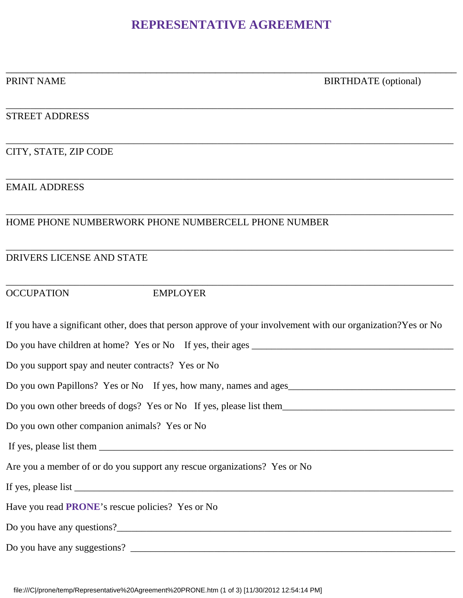# **REPRESENTATIVE AGREEMENT**

\_\_\_\_\_\_\_\_\_\_\_\_\_\_\_\_\_\_\_\_\_\_\_\_\_\_\_\_\_\_\_\_\_\_\_\_\_\_\_\_\_\_\_\_\_\_\_\_\_\_\_\_\_\_\_\_\_\_\_\_\_\_\_\_\_\_\_\_\_\_\_\_\_\_\_\_\_\_\_\_\_\_\_\_

\_\_\_\_\_\_\_\_\_\_\_\_\_\_\_\_\_\_\_\_\_\_\_\_\_\_\_\_\_\_\_\_\_\_\_\_\_\_\_\_\_\_\_\_\_\_\_\_\_\_\_\_\_\_\_\_\_\_\_\_\_\_\_\_\_\_\_\_\_\_\_\_\_\_\_\_\_\_\_\_\_\_\_\_\_\_\_\_\_\_\_

\_\_\_\_\_\_\_\_\_\_\_\_\_\_\_\_\_\_\_\_\_\_\_\_\_\_\_\_\_\_\_\_\_\_\_\_\_\_\_\_\_\_\_\_\_\_\_\_\_\_\_\_\_\_\_\_\_\_\_\_\_\_\_\_\_\_\_\_\_\_\_\_\_\_\_\_\_\_\_\_\_\_\_\_\_\_\_\_\_\_\_

\_\_\_\_\_\_\_\_\_\_\_\_\_\_\_\_\_\_\_\_\_\_\_\_\_\_\_\_\_\_\_\_\_\_\_\_\_\_\_\_\_\_\_\_\_\_\_\_\_\_\_\_\_\_\_\_\_\_\_\_\_\_\_\_\_\_\_\_\_\_\_\_\_\_\_\_\_\_\_\_\_\_\_\_\_\_\_\_\_\_\_

\_\_\_\_\_\_\_\_\_\_\_\_\_\_\_\_\_\_\_\_\_\_\_\_\_\_\_\_\_\_\_\_\_\_\_\_\_\_\_\_\_\_\_\_\_\_\_\_\_\_\_\_\_\_\_\_\_\_\_\_\_\_\_\_\_\_\_\_\_\_\_\_\_\_\_\_\_\_\_\_\_\_\_\_\_\_\_\_\_\_\_

\_\_\_\_\_\_\_\_\_\_\_\_\_\_\_\_\_\_\_\_\_\_\_\_\_\_\_\_\_\_\_\_\_\_\_\_\_\_\_\_\_\_\_\_\_\_\_\_\_\_\_\_\_\_\_\_\_\_\_\_\_\_\_\_\_\_\_\_\_\_\_\_\_\_\_\_\_\_\_\_\_\_\_\_\_\_\_\_\_\_\_

\_\_\_\_\_\_\_\_\_\_\_\_\_\_\_\_\_\_\_\_\_\_\_\_\_\_\_\_\_\_\_\_\_\_\_\_\_\_\_\_\_\_\_\_\_\_\_\_\_\_\_\_\_\_\_\_\_\_\_\_\_\_\_\_\_\_\_\_\_\_\_\_\_\_\_\_\_\_\_\_\_\_\_\_\_\_\_\_\_\_\_

PRINT NAME BIRTHDATE (optional)

#### STREET ADDRESS

CITY, STATE, ZIP CODE

### EMAIL ADDRESS

### HOME PHONE NUMBERWORK PHONE NUMBERCELL PHONE NUMBER

#### DRIVERS LICENSE AND STATE

## OCCUPATION EMPLOYER

| If you have a significant other, does that person approve of your involvement with our organization? Yes or No |
|----------------------------------------------------------------------------------------------------------------|
| Do you have children at home? Yes or No If yes, their ages                                                     |
| Do you support spay and neuter contracts? Yes or No                                                            |
| Do you own Papillons? Yes or No If yes, how many, names and ages                                               |
| Do you own other breeds of dogs? Yes or No If yes, please list them                                            |
| Do you own other companion animals? Yes or No                                                                  |
|                                                                                                                |
| Are you a member of or do you support any rescue organizations? Yes or No                                      |
|                                                                                                                |
| Have you read <b>PRONE</b> 's rescue policies? Yes or No                                                       |
|                                                                                                                |
|                                                                                                                |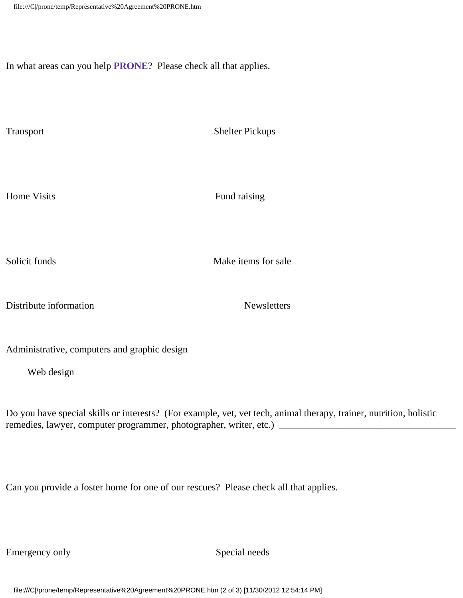In what areas can you help **PRONE**? Please check all that applies.

Transport Shelter Pickups

Home Visits Fund raising

Solicit funds and the Make items for sale

Distribute information Newsletters

Administrative, computers and graphic design

Web design

Do you have special skills or interests? (For example, vet, vet tech, animal therapy, trainer, nutrition, holistic remedies, lawyer, computer programmer, photographer, writer, etc.) \_\_\_\_\_\_\_\_\_\_\_\_\_\_\_\_\_\_\_\_\_\_\_\_\_\_\_\_\_\_\_\_\_\_\_\_

Can you provide a foster home for one of our rescues? Please check all that applies.

Emergency only Special needs